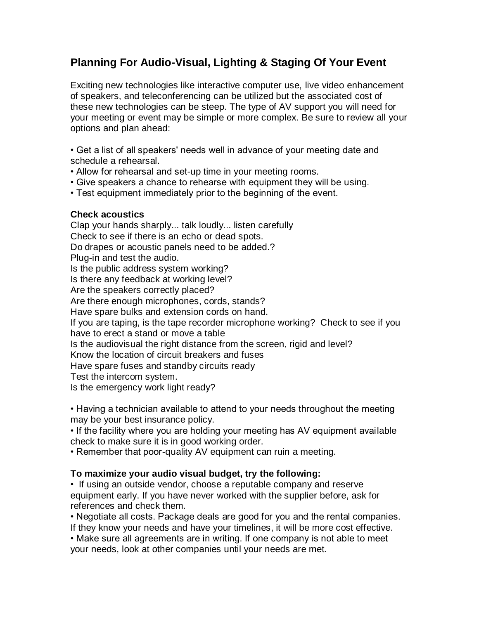## **Planning For Audio-Visual, Lighting & Staging Of Your Event**

Exciting new technologies like interactive computer use, live video enhancement of speakers, and teleconferencing can be utilized but the associated cost of these new technologies can be steep. The type of AV support you will need for your meeting or event may be simple or more complex. Be sure to review all your options and plan ahead:

• Get a list of all speakers' needs well in advance of your meeting date and schedule a rehearsal.

- Allow for rehearsal and set-up time in your meeting rooms.
- Give speakers a chance to rehearse with equipment they will be using.
- Test equipment immediately prior to the beginning of the event.

## **Check acoustics**

Clap your hands sharply... talk loudly... listen carefully Check to see if there is an echo or dead spots. Do drapes or acoustic panels need to be added.? Plug-in and test the audio. Is the public address system working? Is there any feedback at working level? Are the speakers correctly placed? Are there enough microphones, cords, stands? Have spare bulks and extension cords on hand. If you are taping, is the tape recorder microphone working? Check to see if you have to erect a stand or move a table Is the audiovisual the right distance from the screen, rigid and level? Know the location of circuit breakers and fuses Have spare fuses and standby circuits ready Test the intercom system. Is the emergency work light ready? • Having a technician available to attend to your needs throughout the meeting may be your best insurance policy.

• If the facility where you are holding your meeting has AV equipment available check to make sure it is in good working order.

• Remember that poor-quality AV equipment can ruin a meeting.

## **To maximize your audio visual budget, try the following:**

• If using an outside vendor, choose a reputable company and reserve equipment early. If you have never worked with the supplier before, ask for references and check them.

• Negotiate all costs. Package deals are good for you and the rental companies. If they know your needs and have your timelines, it will be more cost effective.

• Make sure all agreements are in writing. If one company is not able to meet your needs, look at other companies until your needs are met.